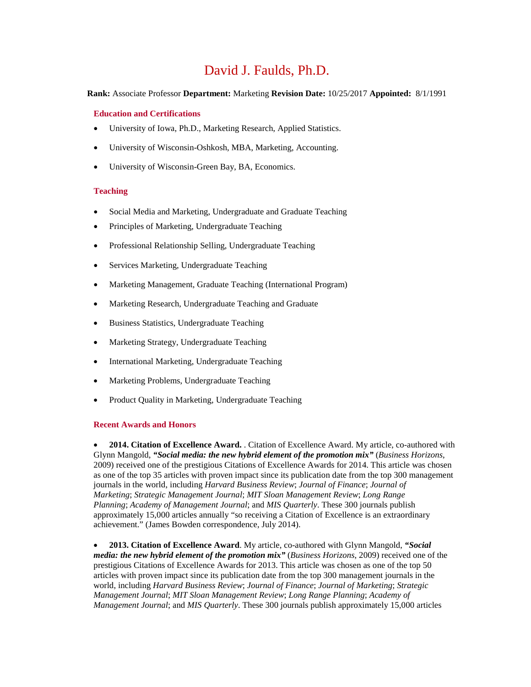# David J. Faulds, Ph.D.

**Rank:** Associate Professor **Department:** Marketing **Revision Date:** 10/25/2017 **Appointed:** 8/1/1991

## **Education and Certifications**

- University of Iowa, Ph.D., Marketing Research, Applied Statistics.
- University of Wisconsin-Oshkosh, MBA, Marketing, Accounting.
- University of Wisconsin-Green Bay, BA, Economics.

# **Teaching**

- Social Media and Marketing, Undergraduate and Graduate Teaching
- Principles of Marketing, Undergraduate Teaching
- Professional Relationship Selling, Undergraduate Teaching
- Services Marketing, Undergraduate Teaching
- Marketing Management, Graduate Teaching (International Program)
- Marketing Research, Undergraduate Teaching and Graduate
- Business Statistics, Undergraduate Teaching
- Marketing Strategy, Undergraduate Teaching
- International Marketing, Undergraduate Teaching
- Marketing Problems, Undergraduate Teaching
- Product Quality in Marketing, Undergraduate Teaching

## **Recent Awards and Honors**

• **2014. Citation of Excellence Award.** . Citation of Excellence Award. My article, co-authored with Glynn Mangold, *"Social media: the new hybrid element of the promotion mix"* (*Business Horizons*, 2009) received one of the prestigious Citations of Excellence Awards for 2014. This article was chosen as one of the top 35 articles with proven impact since its publication date from the top 300 management journals in the world, including *Harvard Business Review*; *Journal of Finance*; *Journal of Marketing*; *Strategic Management Journal*; *MIT Sloan Management Review*; *Long Range Planning*; *Academy of Management Journal*; and *MIS Quarterly*. These 300 journals publish approximately 15,000 articles annually "so receiving a Citation of Excellence is an extraordinary achievement." (James Bowden correspondence, July 2014).

• **2013. Citation of Excellence Award**. My article, co-authored with Glynn Mangold, *"Social media: the new hybrid element of the promotion mix"* (*Business Horizons*, 2009) received one of the prestigious Citations of Excellence Awards for 2013. This article was chosen as one of the top 50 articles with proven impact since its publication date from the top 300 management journals in the world, including *Harvard Business Review*; *Journal of Finance*; *Journal of Marketing*; *Strategic Management Journal*; *MIT Sloan Management Review*; *Long Range Planning*; *Academy of Management Journal*; and *MIS Quarterly*. These 300 journals publish approximately 15,000 articles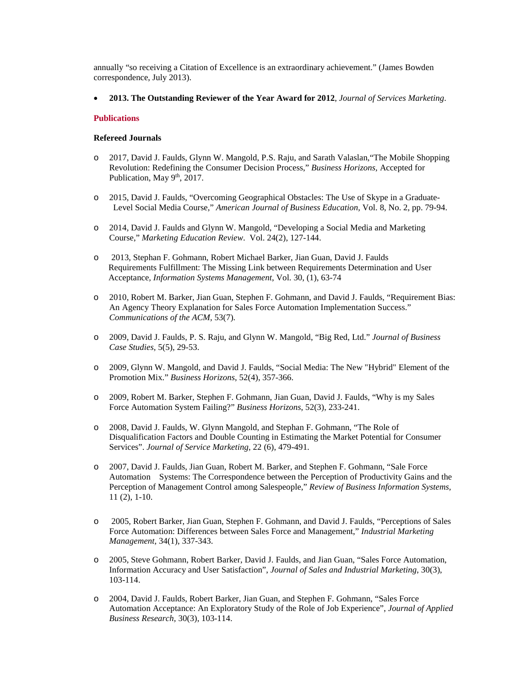annually "so receiving a Citation of Excellence is an extraordinary achievement." (James Bowden correspondence, July 2013).

• **2013. The Outstanding Reviewer of the Year Award for 2012**, *Journal of Services Marketing*.

# **Publications**

# **Refereed Journals**

- o 2017, David J. Faulds, Glynn W. Mangold, P.S. Raju, and Sarath Valaslan,"The Mobile Shopping Revolution: Redefining the Consumer Decision Process," *Business Horizons,* Accepted for Publication, May 9<sup>th</sup>, 2017.
- o 2015, David J. Faulds, "Overcoming Geographical Obstacles: The Use of Skype in a Graduate-Level Social Media Course," *American Journal of Business Education,* Vol. 8, No. 2, pp. 79-94.
- o 2014, David J. Faulds and Glynn W. Mangold, "Developing a Social Media and Marketing Course," *Marketing Education Review*. Vol. 24(2), 127-144.
- o 2013, Stephan F. Gohmann, Robert Michael Barker, Jian Guan, David J. Faulds Requirements Fulfillment: The Missing Link between Requirements Determination and User Acceptance*, Information Systems Management*, Vol. 30, (1), 63-74
- o 2010, Robert M. Barker, Jian Guan, Stephen F. Gohmann, and David J. Faulds, "Requirement Bias: An Agency Theory Explanation for Sales Force Automation Implementation Success." *Communications of the ACM,* 53(7).
- o 2009, David J. Faulds, P. S. Raju, and Glynn W. Mangold, "Big Red, Ltd." *Journal of Business Case Studies,* 5(5), 29-53.
- o 2009, Glynn W. Mangold, and David J. Faulds, "Social Media: The New "Hybrid" Element of the Promotion Mix." *Business Horizons*, 52(4), 357-366.
- o 2009, Robert M. Barker, Stephen F. Gohmann, Jian Guan, David J. Faulds, "Why is my Sales Force Automation System Failing?" *Business Horizons*, 52(3), 233-241.
- o 2008, David J. Faulds, W. Glynn Mangold, and Stephan F. Gohmann, "The Role of Disqualification Factors and Double Counting in Estimating the Market Potential for Consumer Services". *Journal of Service Marketing*, 22 (6), 479-491.
- o 2007, David J. Faulds, Jian Guan, Robert M. Barker, and Stephen F. Gohmann, "Sale Force Automation Systems: The Correspondence between the Perception of Productivity Gains and the Perception of Management Control among Salespeople," *Review of Business Information Systems,* 11 (2), 1-10.
- o 2005, Robert Barker, Jian Guan, Stephen F. Gohmann, and David J. Faulds, "Perceptions of Sales Force Automation: Differences between Sales Force and Management," *Industrial Marketing Management,* 34(1), 337-343.
- o 2005, Steve Gohmann, Robert Barker, David J. Faulds, and Jian Guan, "Sales Force Automation, Information Accuracy and User Satisfaction", *Journal of Sales and Industrial Marketing*, 30(3), 103-114.
- o 2004, David J. Faulds, Robert Barker, Jian Guan, and Stephen F. Gohmann, "Sales Force Automation Acceptance: An Exploratory Study of the Role of Job Experience", *Journal of Applied Business Research,* 30(3), 103-114.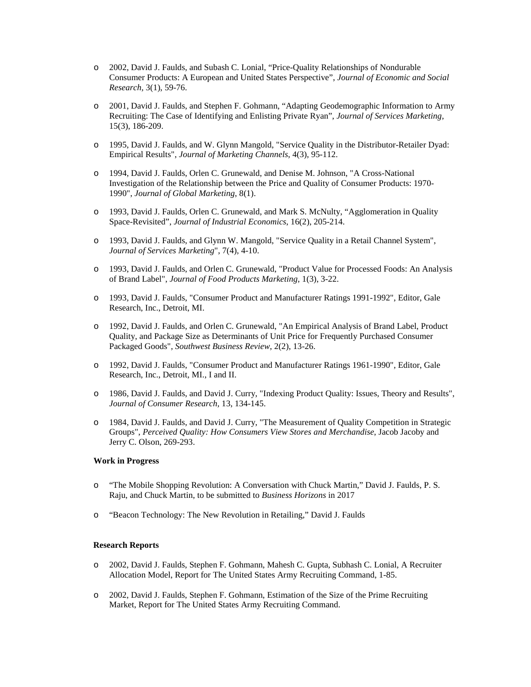- o 2002, David J. Faulds, and Subash C. Lonial, "Price-Quality Relationships of Nondurable Consumer Products: A European and United States Perspective", *Journal of Economic and Social Research,* 3(1), 59-76.
- o 2001, David J. Faulds, and Stephen F. Gohmann, "Adapting Geodemographic Information to Army Recruiting: The Case of Identifying and Enlisting Private Ryan", *Journal of Services Marketing*, 15(3), 186-209.
- o 1995, David J. Faulds, and W. Glynn Mangold, "Service Quality in the Distributor-Retailer Dyad: Empirical Results", *Journal of Marketing Channels*, 4(3), 95-112.
- o 1994, David J. Faulds, Orlen C. Grunewald, and Denise M. Johnson, "A Cross-National Investigation of the Relationship between the Price and Quality of Consumer Products: 1970- 1990", *Journal of Global Marketing*, 8(1).
- o 1993, David J. Faulds, Orlen C. Grunewald, and Mark S. McNulty, "Agglomeration in Quality Space-Revisited", *Journal of Industrial Economics*, 16(2), 205-214.
- o 1993, David J. Faulds, and Glynn W. Mangold, "Service Quality in a Retail Channel System", *Journal of Services Marketing*", 7(4), 4-10.
- o 1993, David J. Faulds, and Orlen C. Grunewald, "Product Value for Processed Foods: An Analysis of Brand Label", *Journal of Food Products Marketing*, 1(3), 3-22.
- o 1993, David J. Faulds, "Consumer Product and Manufacturer Ratings 1991-1992", Editor, Gale Research, Inc., Detroit, MI.
- o 1992, David J. Faulds, and Orlen C. Grunewald, "An Empirical Analysis of Brand Label, Product Quality, and Package Size as Determinants of Unit Price for Frequently Purchased Consumer Packaged Goods", *Southwest Business Review*, 2(2), 13-26.
- o 1992, David J. Faulds, "Consumer Product and Manufacturer Ratings 1961-1990", Editor, Gale Research, Inc., Detroit, MI., I and II.
- o 1986, David J. Faulds, and David J. Curry, "Indexing Product Quality: Issues, Theory and Results", *Journal of Consumer Research,* 13, 134-145.
- o 1984, David J. Faulds, and David J. Curry, "The Measurement of Quality Competition in Strategic Groups", *Perceived Quality: How Consumers View Stores and Merchandise*, Jacob Jacoby and Jerry C. Olson, 269-293.

## **Work in Progress**

- o "The Mobile Shopping Revolution: A Conversation with Chuck Martin," David J. Faulds, P. S. Raju, and Chuck Martin, to be submitted to *Business Horizons* in 2017
- o "Beacon Technology: The New Revolution in Retailing," David J. Faulds

#### **Research Reports**

- o 2002, David J. Faulds, Stephen F. Gohmann, Mahesh C. Gupta, Subhash C. Lonial, A Recruiter Allocation Model, Report for The United States Army Recruiting Command, 1-85.
- o 2002, David J. Faulds, Stephen F. Gohmann, Estimation of the Size of the Prime Recruiting Market, Report for The United States Army Recruiting Command.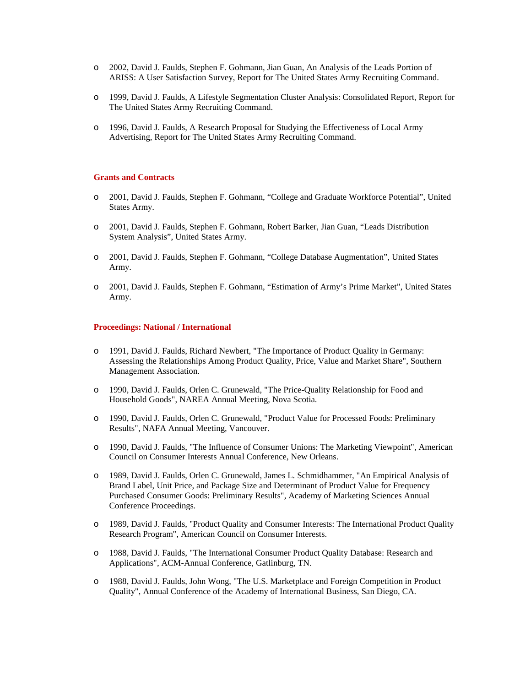- o 2002, David J. Faulds, Stephen F. Gohmann, Jian Guan, An Analysis of the Leads Portion of ARISS: A User Satisfaction Survey, Report for The United States Army Recruiting Command.
- o 1999, David J. Faulds, A Lifestyle Segmentation Cluster Analysis: Consolidated Report, Report for The United States Army Recruiting Command.
- o 1996, David J. Faulds, A Research Proposal for Studying the Effectiveness of Local Army Advertising, Report for The United States Army Recruiting Command.

# **Grants and Contracts**

- o 2001, David J. Faulds, Stephen F. Gohmann, "College and Graduate Workforce Potential", United States Army.
- o 2001, David J. Faulds, Stephen F. Gohmann, Robert Barker, Jian Guan, "Leads Distribution System Analysis", United States Army.
- o 2001, David J. Faulds, Stephen F. Gohmann, "College Database Augmentation", United States Army.
- o 2001, David J. Faulds, Stephen F. Gohmann, "Estimation of Army's Prime Market", United States Army.

#### **Proceedings: National / International**

- o 1991, David J. Faulds, Richard Newbert, "The Importance of Product Quality in Germany: Assessing the Relationships Among Product Quality, Price, Value and Market Share", Southern Management Association.
- o 1990, David J. Faulds, Orlen C. Grunewald, "The Price-Quality Relationship for Food and Household Goods", NAREA Annual Meeting, Nova Scotia.
- o 1990, David J. Faulds, Orlen C. Grunewald, "Product Value for Processed Foods: Preliminary Results", NAFA Annual Meeting, Vancouver.
- o 1990, David J. Faulds, "The Influence of Consumer Unions: The Marketing Viewpoint", American Council on Consumer Interests Annual Conference, New Orleans.
- o 1989, David J. Faulds, Orlen C. Grunewald, James L. Schmidhammer, "An Empirical Analysis of Brand Label, Unit Price, and Package Size and Determinant of Product Value for Frequency Purchased Consumer Goods: Preliminary Results", Academy of Marketing Sciences Annual Conference Proceedings.
- o 1989, David J. Faulds, "Product Quality and Consumer Interests: The International Product Quality Research Program", American Council on Consumer Interests.
- o 1988, David J. Faulds, "The International Consumer Product Quality Database: Research and Applications", ACM-Annual Conference, Gatlinburg, TN.
- o 1988, David J. Faulds, John Wong, "The U.S. Marketplace and Foreign Competition in Product Quality", Annual Conference of the Academy of International Business, San Diego, CA.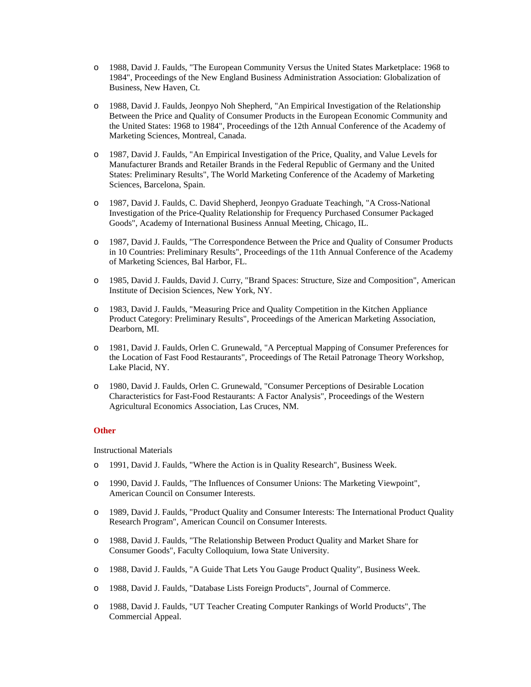- o 1988, David J. Faulds, "The European Community Versus the United States Marketplace: 1968 to 1984", Proceedings of the New England Business Administration Association: Globalization of Business, New Haven, Ct.
- o 1988, David J. Faulds, Jeonpyo Noh Shepherd, "An Empirical Investigation of the Relationship Between the Price and Quality of Consumer Products in the European Economic Community and the United States: 1968 to 1984", Proceedings of the 12th Annual Conference of the Academy of Marketing Sciences, Montreal, Canada.
- o 1987, David J. Faulds, "An Empirical Investigation of the Price, Quality, and Value Levels for Manufacturer Brands and Retailer Brands in the Federal Republic of Germany and the United States: Preliminary Results", The World Marketing Conference of the Academy of Marketing Sciences, Barcelona, Spain.
- o 1987, David J. Faulds, C. David Shepherd, Jeonpyo Graduate Teachingh, "A Cross-National Investigation of the Price-Quality Relationship for Frequency Purchased Consumer Packaged Goods", Academy of International Business Annual Meeting, Chicago, IL.
- o 1987, David J. Faulds, "The Correspondence Between the Price and Quality of Consumer Products in 10 Countries: Preliminary Results", Proceedings of the 11th Annual Conference of the Academy of Marketing Sciences, Bal Harbor, FL.
- o 1985, David J. Faulds, David J. Curry, "Brand Spaces: Structure, Size and Composition", American Institute of Decision Sciences, New York, NY.
- o 1983, David J. Faulds, "Measuring Price and Quality Competition in the Kitchen Appliance Product Category: Preliminary Results", Proceedings of the American Marketing Association, Dearborn, MI.
- o 1981, David J. Faulds, Orlen C. Grunewald, "A Perceptual Mapping of Consumer Preferences for the Location of Fast Food Restaurants", Proceedings of The Retail Patronage Theory Workshop, Lake Placid, NY.
- o 1980, David J. Faulds, Orlen C. Grunewald, "Consumer Perceptions of Desirable Location Characteristics for Fast-Food Restaurants: A Factor Analysis", Proceedings of the Western Agricultural Economics Association, Las Cruces, NM.

# **Other**

Instructional Materials

- o 1991, David J. Faulds, "Where the Action is in Quality Research", Business Week.
- o 1990, David J. Faulds, "The Influences of Consumer Unions: The Marketing Viewpoint", American Council on Consumer Interests.
- o 1989, David J. Faulds, "Product Quality and Consumer Interests: The International Product Quality Research Program", American Council on Consumer Interests.
- o 1988, David J. Faulds, "The Relationship Between Product Quality and Market Share for Consumer Goods", Faculty Colloquium, Iowa State University.
- o 1988, David J. Faulds, "A Guide That Lets You Gauge Product Quality", Business Week.
- o 1988, David J. Faulds, "Database Lists Foreign Products", Journal of Commerce.
- o 1988, David J. Faulds, "UT Teacher Creating Computer Rankings of World Products", The Commercial Appeal.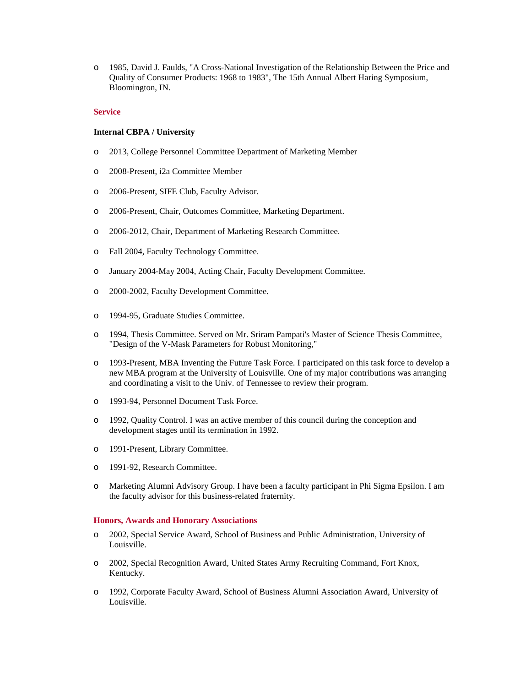o 1985, David J. Faulds, "A Cross-National Investigation of the Relationship Between the Price and Quality of Consumer Products: 1968 to 1983", The 15th Annual Albert Haring Symposium, Bloomington, IN.

## **Service**

### **Internal CBPA / University**

- o 2013, College Personnel Committee Department of Marketing Member
- o 2008-Present, i2a Committee Member
- o 2006-Present, SIFE Club, Faculty Advisor.
- o 2006-Present, Chair, Outcomes Committee, Marketing Department.
- o 2006-2012, Chair, Department of Marketing Research Committee.
- o Fall 2004, Faculty Technology Committee.
- o January 2004-May 2004, Acting Chair, Faculty Development Committee.
- o 2000-2002, Faculty Development Committee.
- o 1994-95, Graduate Studies Committee.
- o 1994, Thesis Committee. Served on Mr. Sriram Pampati's Master of Science Thesis Committee, "Design of the V-Mask Parameters for Robust Monitoring,"
- o 1993-Present, MBA Inventing the Future Task Force. I participated on this task force to develop a new MBA program at the University of Louisville. One of my major contributions was arranging and coordinating a visit to the Univ. of Tennessee to review their program.
- o 1993-94, Personnel Document Task Force.
- o 1992, Quality Control. I was an active member of this council during the conception and development stages until its termination in 1992.
- o 1991-Present, Library Committee.
- o 1991-92, Research Committee.
- o Marketing Alumni Advisory Group. I have been a faculty participant in Phi Sigma Epsilon. I am the faculty advisor for this business-related fraternity.

## **Honors, Awards and Honorary Associations**

- o 2002, Special Service Award, School of Business and Public Administration, University of Louisville.
- o 2002, Special Recognition Award, United States Army Recruiting Command, Fort Knox, Kentucky.
- o 1992, Corporate Faculty Award, School of Business Alumni Association Award, University of Louisville.